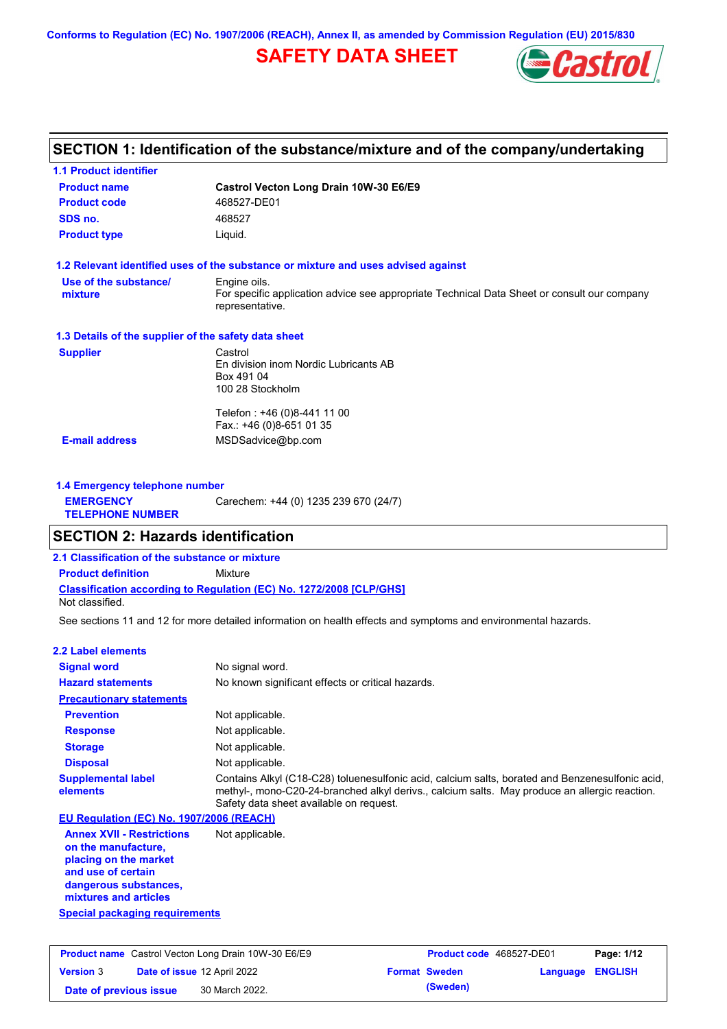**Conforms to Regulation (EC) No. 1907/2006 (REACH), Annex II, as amended by Commission Regulation (EU) 2015/830**

# **SAFETY DATA SHEET**



# **SECTION 1: Identification of the substance/mixture and of the company/undertaking**

| <b>1.1 Product identifier</b>                        |                                                                                                                                |
|------------------------------------------------------|--------------------------------------------------------------------------------------------------------------------------------|
| <b>Product name</b>                                  | Castrol Vecton Long Drain 10W-30 E6/E9                                                                                         |
| <b>Product code</b>                                  | 468527-DE01                                                                                                                    |
| SDS no.                                              | 468527                                                                                                                         |
| <b>Product type</b>                                  | Liquid.                                                                                                                        |
|                                                      | 1.2 Relevant identified uses of the substance or mixture and uses advised against                                              |
| Use of the substance/<br>mixture                     | Engine oils.<br>For specific application advice see appropriate Technical Data Sheet or consult our company<br>representative. |
| 1.3 Details of the supplier of the safety data sheet |                                                                                                                                |
| <b>Supplier</b>                                      | Castrol<br>En division inom Nordic Lubricants AB<br>Box 491 04<br>100 28 Stockholm                                             |
| <b>E-mail address</b>                                | Telefon: +46 (0)8-441 11 00<br>Fax.: +46 (0)8-651 01 35<br>MSDSadvice@bp.com                                                   |
| 1.4 Emergency telephone number                       |                                                                                                                                |
| <b>EMERGENCY</b><br><b>TELEPHONE NUMBER</b>          | Carechem: +44 (0) 1235 239 670 (24/7)                                                                                          |
| <b>SECTION 2: Hazards identification</b>             |                                                                                                                                |
| 2.1 Classification of the substance or mixture       |                                                                                                                                |
| <b>Product definition</b>                            | Mixture                                                                                                                        |
| Not classified.                                      | <b>Classification according to Regulation (EC) No. 1272/2008 [CLP/GHS]</b>                                                     |
|                                                      | See sections 11 and 12 for more detailed information on health effects and symptoms and environmental hazards.                 |
| 2.2 Label elements                                   |                                                                                                                                |
| <b>Signal word</b>                                   | No signal word.                                                                                                                |
| <b>Hazard statements</b>                             | No known significant effects or critical hazards.                                                                              |
| <b>Precautionary statements</b>                      |                                                                                                                                |
| <b>Prevention</b>                                    | Not applicable.                                                                                                                |

**Response Storage Disposal** Not applicable. Not applicable. Not applicable. **Supplemental label elements** Contains Alkyl (C18-C28) toluenesulfonic acid, calcium salts, borated and Benzenesulfonic acid, methyl-, mono-C20-24-branched alkyl derivs., calcium salts. May produce an allergic reaction. Safety data sheet available on request. **EU Regulation (EC) No. 1907/2006 (REACH)**

**Special packaging requirements Annex XVII - Restrictions on the manufacture, placing on the market and use of certain dangerous substances, mixtures and articles** Not applicable.

# **Product name** Castrol Vecton Long Drain 10W-30 E6/E9 **Product code** 468527-DE01 **Page: 1/12 Version** 3 **Date of issue** 12 April 2022 **Format Sweden Language ENGLISH Date of previous issue (Sweden)** 30 March 2022.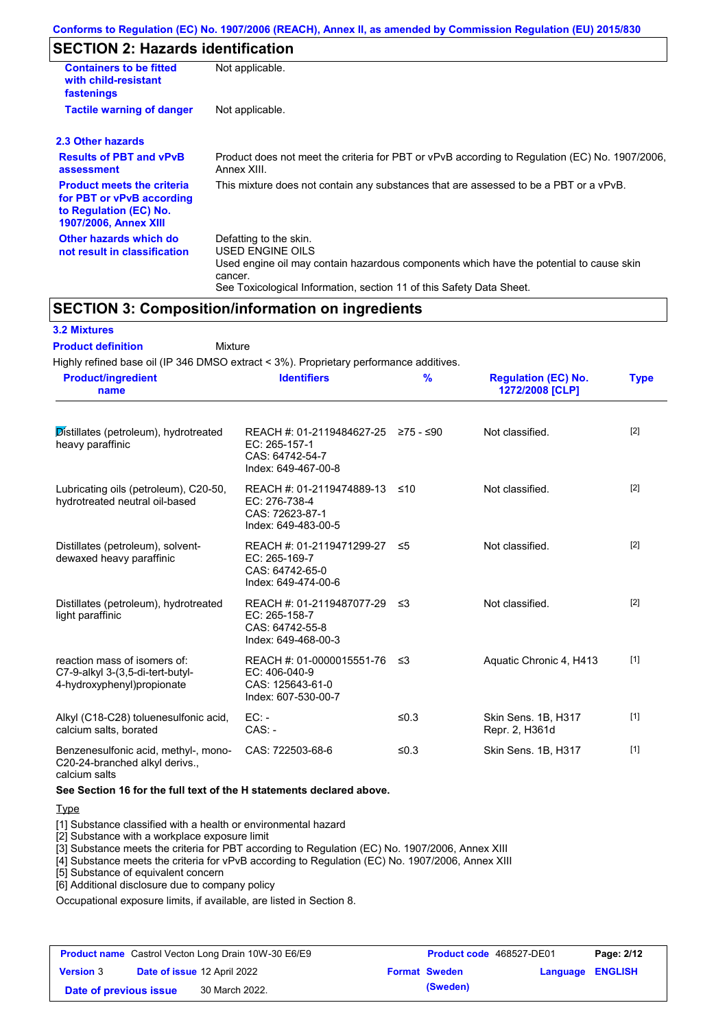# **SECTION 2: Hazards identification**

| <b>Containers to be fitted</b><br>with child-resistant<br>fastenings                                                     | Not applicable.                                                                                                                                                                                                          |
|--------------------------------------------------------------------------------------------------------------------------|--------------------------------------------------------------------------------------------------------------------------------------------------------------------------------------------------------------------------|
| <b>Tactile warning of danger</b>                                                                                         | Not applicable.                                                                                                                                                                                                          |
| 2.3 Other hazards                                                                                                        |                                                                                                                                                                                                                          |
| <b>Results of PBT and vPvB</b><br>assessment                                                                             | Product does not meet the criteria for PBT or vPvB according to Regulation (EC) No. 1907/2006,<br>Annex XIII.                                                                                                            |
| <b>Product meets the criteria</b><br>for PBT or vPvB according<br>to Regulation (EC) No.<br><b>1907/2006, Annex XIII</b> | This mixture does not contain any substances that are assessed to be a PBT or a vPvB.                                                                                                                                    |
| Other hazards which do<br>not result in classification                                                                   | Defatting to the skin.<br>USED ENGINE OILS<br>Used engine oil may contain hazardous components which have the potential to cause skin<br>cancer.<br>See Toxicological Information, section 11 of this Safety Data Sheet. |

## **SECTION 3: Composition/information on ingredients**

#### **3.2 Mixtures**

Mixture **Product definition**

Highly refined base oil (IP 346 DMSO extract < 3%). Proprietary performance additives. **Product/ingredient** 

| <b>Product/ingredient</b><br>name                                                               | <b>Identifiers</b>                                                                      | %         | <b>Regulation (EC) No.</b><br>1272/2008 [CLP] | <b>Type</b> |
|-------------------------------------------------------------------------------------------------|-----------------------------------------------------------------------------------------|-----------|-----------------------------------------------|-------------|
| Distillates (petroleum), hydrotreated<br>heavy paraffinic                                       | REACH #: 01-2119484627-25<br>EC: 265-157-1<br>CAS: 64742-54-7<br>Index: 649-467-00-8    | ≥75 - ≤90 | Not classified.                               | $[2]$       |
| Lubricating oils (petroleum), C20-50,<br>hydrotreated neutral oil-based                         | REACH #: 01-2119474889-13<br>EC: 276-738-4<br>CAS: 72623-87-1<br>Index: 649-483-00-5    | ≤10       | Not classified.                               | $[2]$       |
| Distillates (petroleum), solvent-<br>dewaxed heavy paraffinic                                   | REACH #: 01-2119471299-27<br>EC: 265-169-7<br>CAS: 64742-65-0<br>Index: 649-474-00-6    | ≤5        | Not classified.                               | $[2]$       |
| Distillates (petroleum), hydrotreated<br>light paraffinic                                       | REACH #: 01-2119487077-29 ≤3<br>EC: 265-158-7<br>CAS: 64742-55-8<br>Index: 649-468-00-3 |           | Not classified.                               | $[2]$       |
| reaction mass of isomers of:<br>C7-9-alkyl 3-(3,5-di-tert-butyl-<br>4-hydroxyphenyl) propionate | REACH #: 01-0000015551-76<br>EC: 406-040-9<br>CAS: 125643-61-0<br>Index: 607-530-00-7   | ≤3        | Aquatic Chronic 4, H413                       | $[1]$       |
| Alkyl (C18-C28) toluenesulfonic acid,<br>calcium salts, borated                                 | $EC: -$<br>$CAS. -$                                                                     | ≤0.3      | Skin Sens. 1B, H317<br>Repr. 2, H361d         | $[1]$       |
| Benzenesulfonic acid, methyl-, mono-<br>C20-24-branched alkyl derivs.,                          | CAS: 722503-68-6                                                                        | ≤ $0.3$   | Skin Sens. 1B, H317                           | $[1]$       |

calcium salts

**See Section 16 for the full text of the H statements declared above.**

Type

[1] Substance classified with a health or environmental hazard

[2] Substance with a workplace exposure limit

[3] Substance meets the criteria for PBT according to Regulation (EC) No. 1907/2006, Annex XIII

[4] Substance meets the criteria for vPvB according to Regulation (EC) No. 1907/2006, Annex XIII

[5] Substance of equivalent concern

[6] Additional disclosure due to company policy

Occupational exposure limits, if available, are listed in Section 8.

|                        | <b>Product name</b> Castrol Vecton Long Drain 10W-30 E6/E9 | Product code 468527-DE01 |                  | Page: 2/12 |
|------------------------|------------------------------------------------------------|--------------------------|------------------|------------|
| <b>Version 3</b>       | <b>Date of issue 12 April 2022</b>                         | <b>Format Sweden</b>     | Language ENGLISH |            |
| Date of previous issue | 30 March 2022.                                             | (Sweden)                 |                  |            |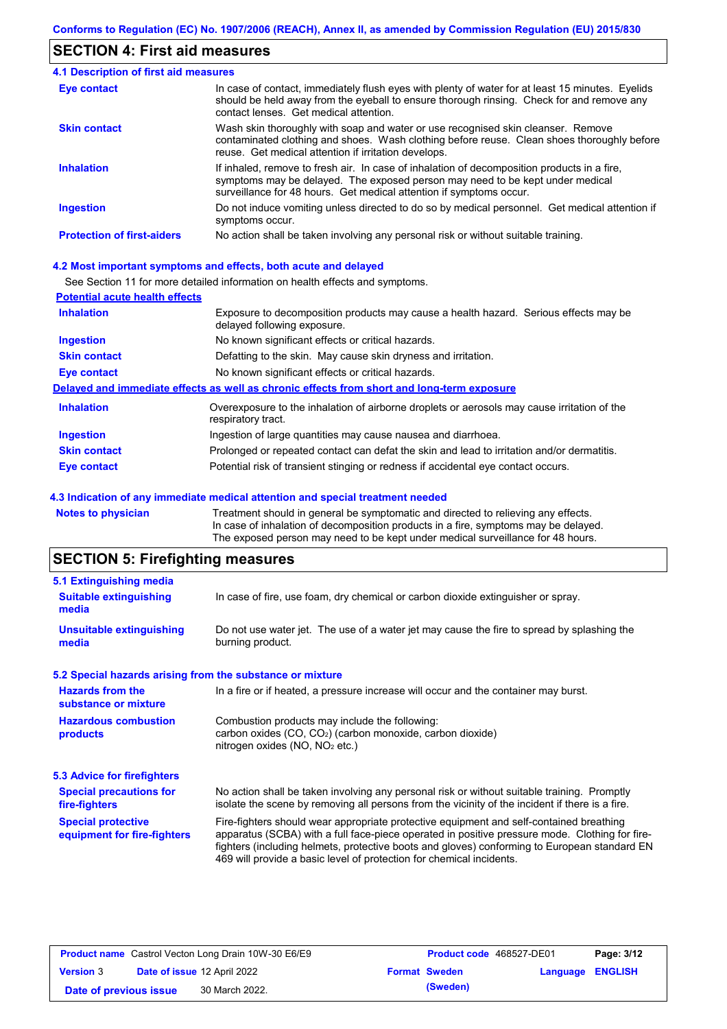## **SECTION 4: First aid measures**

| <b>4.1 Description of first aid measures</b> |                                                                                                                                                                                                                                                     |
|----------------------------------------------|-----------------------------------------------------------------------------------------------------------------------------------------------------------------------------------------------------------------------------------------------------|
| Eye contact                                  | In case of contact, immediately flush eyes with plenty of water for at least 15 minutes. Eyelids<br>should be held away from the eyeball to ensure thorough rinsing. Check for and remove any<br>contact lenses. Get medical attention.             |
| <b>Skin contact</b>                          | Wash skin thoroughly with soap and water or use recognised skin cleanser. Remove<br>contaminated clothing and shoes. Wash clothing before reuse. Clean shoes thoroughly before<br>reuse. Get medical attention if irritation develops.              |
| <b>Inhalation</b>                            | If inhaled, remove to fresh air. In case of inhalation of decomposition products in a fire,<br>symptoms may be delayed. The exposed person may need to be kept under medical<br>surveillance for 48 hours. Get medical attention if symptoms occur. |
| <b>Ingestion</b>                             | Do not induce vomiting unless directed to do so by medical personnel. Get medical attention if<br>symptoms occur.                                                                                                                                   |
| <b>Protection of first-aiders</b>            | No action shall be taken involving any personal risk or without suitable training.                                                                                                                                                                  |

#### **4.2 Most important symptoms and effects, both acute and delayed**

See Section 11 for more detailed information on health effects and symptoms.

| <b>Potential acute health effects</b> |                                                                                                                     |
|---------------------------------------|---------------------------------------------------------------------------------------------------------------------|
| <b>Inhalation</b>                     | Exposure to decomposition products may cause a health hazard. Serious effects may be<br>delayed following exposure. |
| <b>Ingestion</b>                      | No known significant effects or critical hazards.                                                                   |
| <b>Skin contact</b>                   | Defatting to the skin. May cause skin dryness and irritation.                                                       |
| <b>Eye contact</b>                    | No known significant effects or critical hazards.                                                                   |
|                                       | Delayed and immediate effects as well as chronic effects from short and long-term exposure                          |
| <b>Inhalation</b>                     | Overexposure to the inhalation of airborne droplets or aerosols may cause irritation of the<br>respiratory tract.   |
| <b>Ingestion</b>                      | Ingestion of large quantities may cause nausea and diarrhoea.                                                       |
| <b>Skin contact</b>                   | Prolonged or repeated contact can defat the skin and lead to irritation and/or dermatitis.                          |
| Eye contact                           | Potential risk of transient stinging or redness if accidental eye contact occurs.                                   |
|                                       |                                                                                                                     |

#### **4.3 Indication of any immediate medical attention and special treatment needed**

**Notes to physician** Treatment should in general be symptomatic and directed to relieving any effects. In case of inhalation of decomposition products in a fire, symptoms may be delayed. The exposed person may need to be kept under medical surveillance for 48 hours.

# **SECTION 5: Firefighting measures**

| 5.1 Extinguishing media                                                                                                                                                                                                                           |                                                                                                                                                                                                                                                                                                                                                                   |
|---------------------------------------------------------------------------------------------------------------------------------------------------------------------------------------------------------------------------------------------------|-------------------------------------------------------------------------------------------------------------------------------------------------------------------------------------------------------------------------------------------------------------------------------------------------------------------------------------------------------------------|
| <b>Suitable extinguishing</b><br>media                                                                                                                                                                                                            | In case of fire, use foam, dry chemical or carbon dioxide extinguisher or spray.                                                                                                                                                                                                                                                                                  |
| <b>Unsuitable extinguishing</b><br>media                                                                                                                                                                                                          | Do not use water jet. The use of a water jet may cause the fire to spread by splashing the<br>burning product.                                                                                                                                                                                                                                                    |
|                                                                                                                                                                                                                                                   | 5.2 Special hazards arising from the substance or mixture                                                                                                                                                                                                                                                                                                         |
| <b>Hazards from the</b><br>In a fire or if heated, a pressure increase will occur and the container may burst.<br>substance or mixture                                                                                                            |                                                                                                                                                                                                                                                                                                                                                                   |
| <b>Hazardous combustion</b><br>products                                                                                                                                                                                                           | Combustion products may include the following:<br>carbon oxides $(CO, CO2)$ (carbon monoxide, carbon dioxide)<br>nitrogen oxides ( $NO$ , $NO2$ etc.)                                                                                                                                                                                                             |
| 5.3 Advice for firefighters                                                                                                                                                                                                                       |                                                                                                                                                                                                                                                                                                                                                                   |
| No action shall be taken involving any personal risk or without suitable training. Promptly<br><b>Special precautions for</b><br>isolate the scene by removing all persons from the vicinity of the incident if there is a fire.<br>fire-fighters |                                                                                                                                                                                                                                                                                                                                                                   |
| <b>Special protective</b><br>equipment for fire-fighters                                                                                                                                                                                          | Fire-fighters should wear appropriate protective equipment and self-contained breathing<br>apparatus (SCBA) with a full face-piece operated in positive pressure mode. Clothing for fire-<br>fighters (including helmets, protective boots and gloves) conforming to European standard EN<br>469 will provide a basic level of protection for chemical incidents. |

| <b>Product name</b> Castrol Vecton Long Drain 10W-30 E6/E9 |  | <b>Product code</b> 468527-DE01 |  | Page: 3/12           |                         |  |
|------------------------------------------------------------|--|---------------------------------|--|----------------------|-------------------------|--|
| <b>Version 3</b>                                           |  | Date of issue 12 April 2022     |  | <b>Format Sweden</b> | <b>Language ENGLISH</b> |  |
| Date of previous issue                                     |  | 30 March 2022.                  |  | (Sweden)             |                         |  |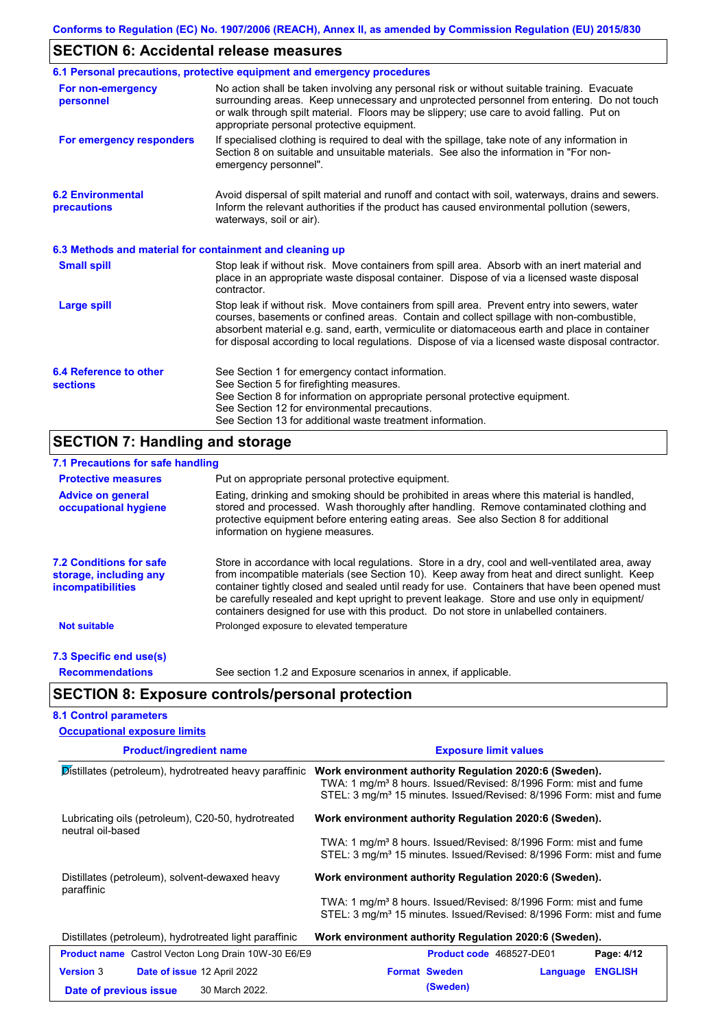# **SECTION 6: Accidental release measures**

|                                                          | 6.1 Personal precautions, protective equipment and emergency procedures                                                                                                                                                                                                                                                                                                                        |
|----------------------------------------------------------|------------------------------------------------------------------------------------------------------------------------------------------------------------------------------------------------------------------------------------------------------------------------------------------------------------------------------------------------------------------------------------------------|
| For non-emergency<br>personnel                           | No action shall be taken involving any personal risk or without suitable training. Evacuate<br>surrounding areas. Keep unnecessary and unprotected personnel from entering. Do not touch<br>or walk through spilt material. Floors may be slippery; use care to avoid falling. Put on<br>appropriate personal protective equipment.                                                            |
| For emergency responders                                 | If specialised clothing is required to deal with the spillage, take note of any information in<br>Section 8 on suitable and unsuitable materials. See also the information in "For non-<br>emergency personnel".                                                                                                                                                                               |
| <b>6.2 Environmental</b><br>precautions                  | Avoid dispersal of spilt material and runoff and contact with soil, waterways, drains and sewers.<br>Inform the relevant authorities if the product has caused environmental pollution (sewers,<br>waterways, soil or air).                                                                                                                                                                    |
| 6.3 Methods and material for containment and cleaning up |                                                                                                                                                                                                                                                                                                                                                                                                |
| <b>Small spill</b>                                       | Stop leak if without risk. Move containers from spill area. Absorb with an inert material and<br>place in an appropriate waste disposal container. Dispose of via a licensed waste disposal<br>contractor.                                                                                                                                                                                     |
| Large spill                                              | Stop leak if without risk. Move containers from spill area. Prevent entry into sewers, water<br>courses, basements or confined areas. Contain and collect spillage with non-combustible,<br>absorbent material e.g. sand, earth, vermiculite or diatomaceous earth and place in container<br>for disposal according to local regulations. Dispose of via a licensed waste disposal contractor. |
| 6.4 Reference to other<br><b>sections</b>                | See Section 1 for emergency contact information.<br>See Section 5 for firefighting measures.<br>See Section 8 for information on appropriate personal protective equipment.<br>See Section 12 for environmental precautions.<br>See Section 13 for additional waste treatment information.                                                                                                     |

# **SECTION 7: Handling and storage**

| 7.1 Precautions for safe handling                                                    |                                                                 |                                                                                                                                                                                                                                                                                                                                                                                                                                                                                          |  |  |
|--------------------------------------------------------------------------------------|-----------------------------------------------------------------|------------------------------------------------------------------------------------------------------------------------------------------------------------------------------------------------------------------------------------------------------------------------------------------------------------------------------------------------------------------------------------------------------------------------------------------------------------------------------------------|--|--|
| <b>Protective measures</b>                                                           | Put on appropriate personal protective equipment.               |                                                                                                                                                                                                                                                                                                                                                                                                                                                                                          |  |  |
| <b>Advice on general</b><br>occupational hygiene                                     | information on hygiene measures.                                | Eating, drinking and smoking should be prohibited in areas where this material is handled,<br>stored and processed. Wash thoroughly after handling. Remove contaminated clothing and<br>protective equipment before entering eating areas. See also Section 8 for additional                                                                                                                                                                                                             |  |  |
| <b>7.2 Conditions for safe</b><br>storage, including any<br><i>incompatibilities</i> |                                                                 | Store in accordance with local regulations. Store in a dry, cool and well-ventilated area, away<br>from incompatible materials (see Section 10). Keep away from heat and direct sunlight. Keep<br>container tightly closed and sealed until ready for use. Containers that have been opened must<br>be carefully resealed and kept upright to prevent leakage. Store and use only in equipment/<br>containers designed for use with this product. Do not store in unlabelled containers. |  |  |
| <b>Not suitable</b>                                                                  | Prolonged exposure to elevated temperature                      |                                                                                                                                                                                                                                                                                                                                                                                                                                                                                          |  |  |
| 7.3 Specific end use(s)                                                              |                                                                 |                                                                                                                                                                                                                                                                                                                                                                                                                                                                                          |  |  |
| <b>Recommendations</b>                                                               | See section 1.2 and Exposure scenarios in annex, if applicable. |                                                                                                                                                                                                                                                                                                                                                                                                                                                                                          |  |  |
|                                                                                      | <b>SECTION 8: Exposure controls/personal protection</b>         |                                                                                                                                                                                                                                                                                                                                                                                                                                                                                          |  |  |
| <b>8.1 Control parameters</b>                                                        |                                                                 |                                                                                                                                                                                                                                                                                                                                                                                                                                                                                          |  |  |
| <b>Occupational exposure limits</b>                                                  |                                                                 |                                                                                                                                                                                                                                                                                                                                                                                                                                                                                          |  |  |
| <b>Product/ingredient name</b>                                                       |                                                                 | <b>Exposure limit values</b>                                                                                                                                                                                                                                                                                                                                                                                                                                                             |  |  |

| Distillates (petroleum), hydrotreated heavy paraffinic                  | Work environment authority Regulation 2020:6 (Sweden).<br>TWA: 1 mg/m <sup>3</sup> 8 hours. Issued/Revised: 8/1996 Form: mist and fume<br>STEL: 3 mg/m <sup>3</sup> 15 minutes. Issued/Revised: 8/1996 Form: mist and fume |
|-------------------------------------------------------------------------|----------------------------------------------------------------------------------------------------------------------------------------------------------------------------------------------------------------------------|
| Lubricating oils (petroleum), C20-50, hydrotreated<br>neutral oil-based | Work environment authority Regulation 2020:6 (Sweden).                                                                                                                                                                     |
|                                                                         | TWA: 1 mg/m <sup>3</sup> 8 hours. Issued/Revised: 8/1996 Form: mist and fume<br>STEL: 3 mg/m <sup>3</sup> 15 minutes. Issued/Revised: 8/1996 Form: mist and fume                                                           |
| Distillates (petroleum), solvent-dewaxed heavy<br>paraffinic            | Work environment authority Regulation 2020:6 (Sweden).                                                                                                                                                                     |
|                                                                         | TWA: 1 mg/m <sup>3</sup> 8 hours. Issued/Revised: 8/1996 Form: mist and fume<br>STEL: 3 mg/m <sup>3</sup> 15 minutes. Issued/Revised: 8/1996 Form: mist and fume                                                           |
| Distillates (petroleum), hydrotreated light paraffinic                  | Work environment authority Regulation 2020:6 (Sweden).                                                                                                                                                                     |
| <b>Product name</b> Castrol Vecton Long Drain 10W-30 E6/E9              | Page: 4/12<br><b>Product code</b> 468527-DE01                                                                                                                                                                              |
| <b>Version 3</b><br>Date of issue 12 April 2022                         | <b>Format Sweden</b><br><b>ENGLISH</b><br>Language                                                                                                                                                                         |
| 30 March 2022.<br>Date of previous issue                                | (Sweden)                                                                                                                                                                                                                   |
|                                                                         |                                                                                                                                                                                                                            |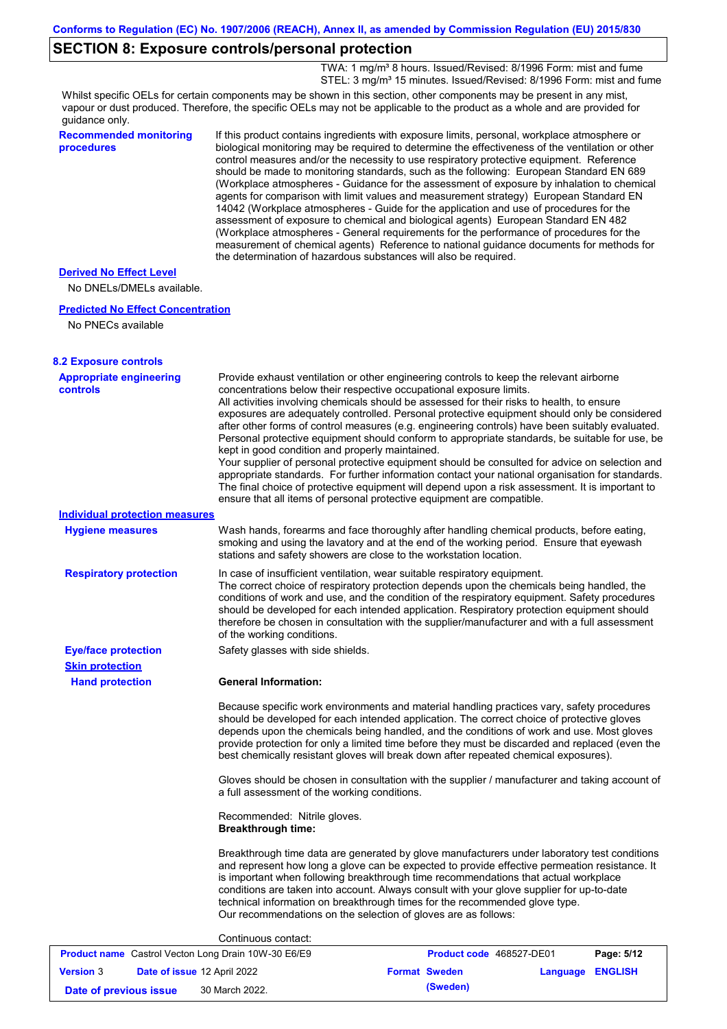## **SECTION 8: Exposure controls/personal protection**

TWA: 1 mg/m<sup>3</sup> 8 hours. Issued/Revised: 8/1996 Form: mist and fume STEL: 3 mg/m<sup>3</sup> 15 minutes. Issued/Revised: 8/1996 Form: mist and fume

Whilst specific OELs for certain components may be shown in this section, other components may be present in any mist, vapour or dust produced. Therefore, the specific OELs may not be applicable to the product as a whole and are provided for guidance only.

| guidance only.                                              |                                                                                                                                                                                                                                                                                                                                                                                                                                                                                                                                                                                                                                                                                                                                                                                                                                                                                                                                                                                                                            |
|-------------------------------------------------------------|----------------------------------------------------------------------------------------------------------------------------------------------------------------------------------------------------------------------------------------------------------------------------------------------------------------------------------------------------------------------------------------------------------------------------------------------------------------------------------------------------------------------------------------------------------------------------------------------------------------------------------------------------------------------------------------------------------------------------------------------------------------------------------------------------------------------------------------------------------------------------------------------------------------------------------------------------------------------------------------------------------------------------|
| <b>Recommended monitoring</b><br>procedures                 | If this product contains ingredients with exposure limits, personal, workplace atmosphere or<br>biological monitoring may be required to determine the effectiveness of the ventilation or other<br>control measures and/or the necessity to use respiratory protective equipment. Reference<br>should be made to monitoring standards, such as the following: European Standard EN 689<br>(Workplace atmospheres - Guidance for the assessment of exposure by inhalation to chemical<br>agents for comparison with limit values and measurement strategy) European Standard EN<br>14042 (Workplace atmospheres - Guide for the application and use of procedures for the<br>assessment of exposure to chemical and biological agents) European Standard EN 482<br>(Workplace atmospheres - General requirements for the performance of procedures for the<br>measurement of chemical agents) Reference to national guidance documents for methods for<br>the determination of hazardous substances will also be required. |
| <b>Derived No Effect Level</b><br>No DNELs/DMELs available. |                                                                                                                                                                                                                                                                                                                                                                                                                                                                                                                                                                                                                                                                                                                                                                                                                                                                                                                                                                                                                            |
| <b>Predicted No Effect Concentration</b>                    |                                                                                                                                                                                                                                                                                                                                                                                                                                                                                                                                                                                                                                                                                                                                                                                                                                                                                                                                                                                                                            |
| No PNECs available                                          |                                                                                                                                                                                                                                                                                                                                                                                                                                                                                                                                                                                                                                                                                                                                                                                                                                                                                                                                                                                                                            |
| <b>8.2 Exposure controls</b>                                |                                                                                                                                                                                                                                                                                                                                                                                                                                                                                                                                                                                                                                                                                                                                                                                                                                                                                                                                                                                                                            |
| <b>Appropriate engineering</b><br><b>controls</b>           | Provide exhaust ventilation or other engineering controls to keep the relevant airborne<br>concentrations below their respective occupational exposure limits.<br>All activities involving chemicals should be assessed for their risks to health, to ensure<br>exposures are adequately controlled. Personal protective equipment should only be considered<br>after other forms of control measures (e.g. engineering controls) have been suitably evaluated.<br>Personal protective equipment should conform to appropriate standards, be suitable for use, be<br>kept in good condition and properly maintained.<br>Your supplier of personal protective equipment should be consulted for advice on selection and<br>appropriate standards. For further information contact your national organisation for standards.<br>The final choice of protective equipment will depend upon a risk assessment. It is important to<br>ensure that all items of personal protective equipment are compatible.                    |
| <b>Individual protection measures</b>                       |                                                                                                                                                                                                                                                                                                                                                                                                                                                                                                                                                                                                                                                                                                                                                                                                                                                                                                                                                                                                                            |
| <b>Hygiene measures</b>                                     | Wash hands, forearms and face thoroughly after handling chemical products, before eating,<br>smoking and using the lavatory and at the end of the working period. Ensure that eyewash<br>stations and safety showers are close to the workstation location.                                                                                                                                                                                                                                                                                                                                                                                                                                                                                                                                                                                                                                                                                                                                                                |
| <b>Respiratory protection</b>                               | In case of insufficient ventilation, wear suitable respiratory equipment.<br>The correct choice of respiratory protection depends upon the chemicals being handled, the<br>conditions of work and use, and the condition of the respiratory equipment. Safety procedures<br>should be developed for each intended application. Respiratory protection equipment should<br>therefore be chosen in consultation with the supplier/manufacturer and with a full assessment<br>of the working conditions.                                                                                                                                                                                                                                                                                                                                                                                                                                                                                                                      |
| <b>Eye/face protection</b>                                  | Safety glasses with side shields.                                                                                                                                                                                                                                                                                                                                                                                                                                                                                                                                                                                                                                                                                                                                                                                                                                                                                                                                                                                          |
| <b>Skin protection</b>                                      |                                                                                                                                                                                                                                                                                                                                                                                                                                                                                                                                                                                                                                                                                                                                                                                                                                                                                                                                                                                                                            |
| <b>Hand protection</b>                                      | <b>General Information:</b>                                                                                                                                                                                                                                                                                                                                                                                                                                                                                                                                                                                                                                                                                                                                                                                                                                                                                                                                                                                                |
|                                                             | Because specific work environments and material handling practices vary, safety procedures<br>should be developed for each intended application. The correct choice of protective gloves<br>depends upon the chemicals being handled, and the conditions of work and use. Most gloves<br>provide protection for only a limited time before they must be discarded and replaced (even the<br>best chemically resistant gloves will break down after repeated chemical exposures).                                                                                                                                                                                                                                                                                                                                                                                                                                                                                                                                           |
|                                                             | Gloves should be chosen in consultation with the supplier / manufacturer and taking account of<br>a full assessment of the working conditions.                                                                                                                                                                                                                                                                                                                                                                                                                                                                                                                                                                                                                                                                                                                                                                                                                                                                             |

Recommended: Nitrile gloves. **Breakthrough time:**

Breakthrough time data are generated by glove manufacturers under laboratory test conditions and represent how long a glove can be expected to provide effective permeation resistance. It is important when following breakthrough time recommendations that actual workplace conditions are taken into account. Always consult with your glove supplier for up-to-date technical information on breakthrough times for the recommended glove type. Our recommendations on the selection of gloves are as follows:

#### Continuous contact:

| <b>Product name</b> Castrol Vecton Long Drain 10W-30 E6/E9 |  |                                    | <b>Product code</b> 468527-DE01 | Page: 5/12           |                  |  |
|------------------------------------------------------------|--|------------------------------------|---------------------------------|----------------------|------------------|--|
| <b>Version 3</b>                                           |  | <b>Date of issue 12 April 2022</b> |                                 | <b>Format Sweden</b> | Language ENGLISH |  |
| Date of previous issue                                     |  | 30 March 2022.                     |                                 | (Sweden)             |                  |  |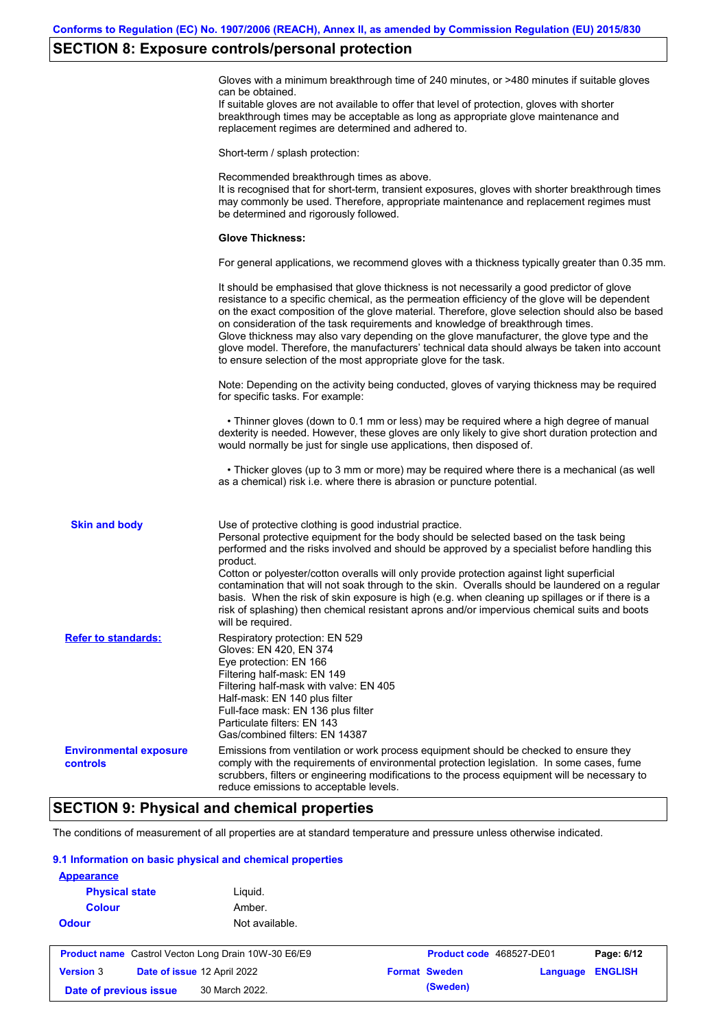## **SECTION 8: Exposure controls/personal protection**

Gloves with a minimum breakthrough time of 240 minutes, or >480 minutes if suitable gloves can be obtained.

If suitable gloves are not available to offer that level of protection, gloves with shorter breakthrough times may be acceptable as long as appropriate glove maintenance and replacement regimes are determined and adhered to.

Short-term / splash protection:

Recommended breakthrough times as above. It is recognised that for short-term, transient exposures, gloves with shorter breakthrough times may commonly be used. Therefore, appropriate maintenance and replacement regimes must be determined and rigorously followed. **Glove Thickness:** For general applications, we recommend gloves with a thickness typically greater than 0.35 mm. It should be emphasised that glove thickness is not necessarily a good predictor of glove resistance to a specific chemical, as the permeation efficiency of the glove will be dependent on the exact composition of the glove material. Therefore, glove selection should also be based on consideration of the task requirements and knowledge of breakthrough times. Glove thickness may also vary depending on the glove manufacturer, the glove type and the glove model. Therefore, the manufacturers' technical data should always be taken into account to ensure selection of the most appropriate glove for the task. Note: Depending on the activity being conducted, gloves of varying thickness may be required for specific tasks. For example: • Thinner gloves (down to 0.1 mm or less) may be required where a high degree of manual dexterity is needed. However, these gloves are only likely to give short duration protection and would normally be just for single use applications, then disposed of. • Thicker gloves (up to 3 mm or more) may be required where there is a mechanical (as well as a chemical) risk i.e. where there is abrasion or puncture potential. Use of protective clothing is good industrial practice. Personal protective equipment for the body should be selected based on the task being performed and the risks involved and should be approved by a specialist before handling this product. Cotton or polyester/cotton overalls will only provide protection against light superficial contamination that will not soak through to the skin. Overalls should be laundered on a regular basis. When the risk of skin exposure is high (e.g. when cleaning up spillages or if there is a risk of splashing) then chemical resistant aprons and/or impervious chemical suits and boots will be required. **Environmental exposure controls** Emissions from ventilation or work process equipment should be checked to ensure they comply with the requirements of environmental protection legislation. In some cases, fume scrubbers, filters or engineering modifications to the process equipment will be necessary to reduce emissions to acceptable levels. **Skin and body Refer to standards:** Respiratory protection: EN 529 Gloves: EN 420, EN 374 Eye protection: EN 166 Filtering half-mask: EN 149 Filtering half-mask with valve: EN 405 Half-mask: EN 140 plus filter Full-face mask: EN 136 plus filter Particulate filters: EN 143 Gas/combined filters: EN 14387

## **SECTION 9: Physical and chemical properties**

The conditions of measurement of all properties are at standard temperature and pressure unless otherwise indicated.

#### **9.1 Information on basic physical and chemical properties**

| <b>Appearance</b>                                          |                             |                          |          |                |
|------------------------------------------------------------|-----------------------------|--------------------------|----------|----------------|
| <b>Physical state</b>                                      | Liquid.                     |                          |          |                |
| <b>Colour</b>                                              | Amber.                      |                          |          |                |
| <b>Odour</b>                                               | Not available.              |                          |          |                |
| <b>Product name</b> Castrol Vecton Long Drain 10W-30 E6/E9 |                             | Product code 468527-DE01 |          | Page: 6/12     |
|                                                            |                             |                          |          |                |
| <b>Version 3</b>                                           | Date of issue 12 April 2022 | <b>Format Sweden</b>     | Language | <b>ENGLISH</b> |
| Date of previous issue                                     | 30 March 2022.              | (Sweden)                 |          |                |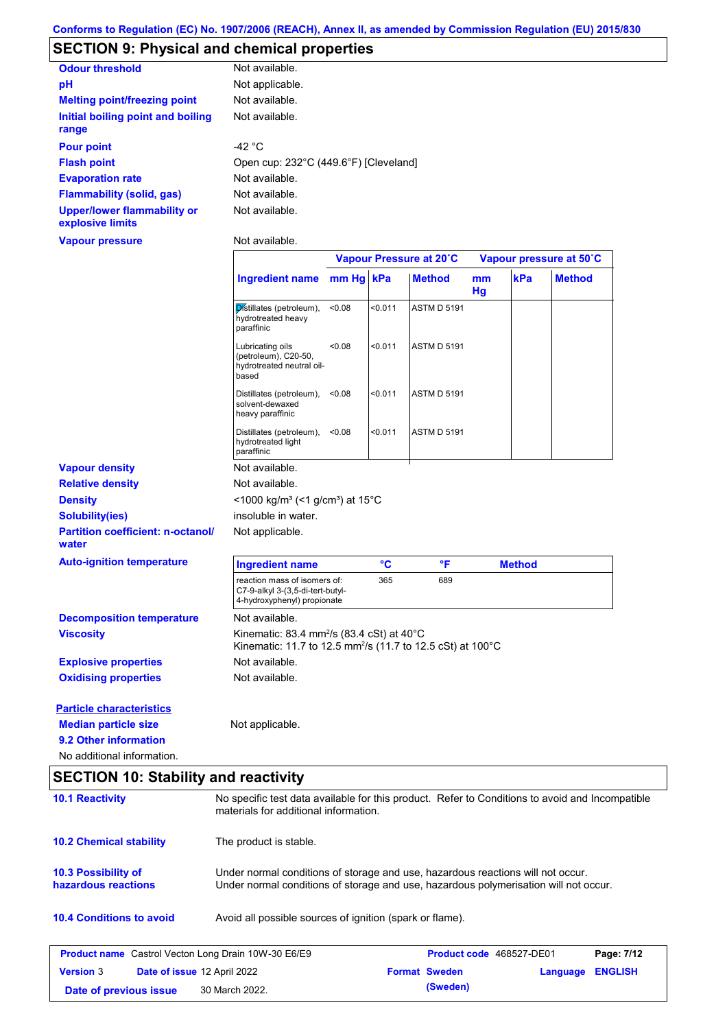# **SECTION 9: Physical and chemical properties**

| <b>Odour threshold</b>                                 | Not available.                        |
|--------------------------------------------------------|---------------------------------------|
| рH                                                     | Not applicable.                       |
| <b>Melting point/freezing point</b>                    | Not available.                        |
| Initial boiling point and boiling<br>range             | Not available.                        |
| <b>Pour point</b>                                      | -42 $^{\circ}$ C                      |
| <b>Flash point</b>                                     | Open cup: 232°C (449.6°F) [Cleveland] |
| <b>Evaporation rate</b>                                | Not available.                        |
| <b>Flammability (solid, gas)</b>                       | Not available.                        |
| <b>Upper/lower flammability or</b><br>explosive limits | Not available.                        |

#### **Vapour pressure**

Not available.

|                                                                |                                                                                                                                                                         |           |         | Vapour Pressure at 20°C |          |               | Vapour pressure at 50°C |
|----------------------------------------------------------------|-------------------------------------------------------------------------------------------------------------------------------------------------------------------------|-----------|---------|-------------------------|----------|---------------|-------------------------|
|                                                                | <b>Ingredient name</b>                                                                                                                                                  | mm Hg kPa |         | <b>Method</b>           | mm<br>Hg | kPa           | <b>Method</b>           |
|                                                                | Distillates (petroleum),<br>hydrotreated heavy<br>paraffinic                                                                                                            | < 0.08    | < 0.011 | <b>ASTM D 5191</b>      |          |               |                         |
|                                                                | Lubricating oils<br>(petroleum), C20-50,<br>hydrotreated neutral oil-<br>based                                                                                          | < 0.08    | < 0.011 | <b>ASTM D 5191</b>      |          |               |                         |
|                                                                | Distillates (petroleum),<br>solvent-dewaxed<br>heavy paraffinic                                                                                                         | < 0.08    | < 0.011 | <b>ASTM D 5191</b>      |          |               |                         |
|                                                                | Distillates (petroleum),<br>hydrotreated light<br>paraffinic                                                                                                            | < 0.08    | < 0.011 | <b>ASTM D 5191</b>      |          |               |                         |
| <b>Vapour density</b>                                          | Not available.                                                                                                                                                          |           |         |                         |          |               |                         |
| <b>Relative density</b>                                        | Not available.                                                                                                                                                          |           |         |                         |          |               |                         |
| <b>Density</b>                                                 | <1000 kg/m <sup>3</sup> (<1 g/cm <sup>3</sup> ) at 15°C                                                                                                                 |           |         |                         |          |               |                         |
| <b>Solubility(ies)</b>                                         | insoluble in water.                                                                                                                                                     |           |         |                         |          |               |                         |
| <b>Partition coefficient: n-octanol/</b><br>water              | Not applicable.                                                                                                                                                         |           |         |                         |          |               |                         |
| <b>Auto-ignition temperature</b>                               | <b>Ingredient name</b>                                                                                                                                                  |           | °C      | $\mathsf{P}$            |          | <b>Method</b> |                         |
|                                                                | reaction mass of isomers of:<br>C7-9-alkyl 3-(3,5-di-tert-butyl-<br>4-hydroxyphenyl) propionate                                                                         |           | 365     | 689                     |          |               |                         |
| <b>Decomposition temperature</b>                               | Not available.                                                                                                                                                          |           |         |                         |          |               |                         |
| <b>Viscosity</b>                                               | Kinematic: 83.4 mm <sup>2</sup> /s (83.4 cSt) at 40 $^{\circ}$ C<br>Kinematic: 11.7 to 12.5 mm <sup>2</sup> /s (11.7 to 12.5 cSt) at 100°C                              |           |         |                         |          |               |                         |
| <b>Explosive properties</b>                                    | Not available.                                                                                                                                                          |           |         |                         |          |               |                         |
| <b>Oxidising properties</b>                                    | Not available.                                                                                                                                                          |           |         |                         |          |               |                         |
| <b>Particle characteristics</b><br><b>Median particle size</b> | Not applicable.                                                                                                                                                         |           |         |                         |          |               |                         |
| 9.2 Other information                                          |                                                                                                                                                                         |           |         |                         |          |               |                         |
| No additional information.                                     |                                                                                                                                                                         |           |         |                         |          |               |                         |
| <b>SECTION 10: Stability and reactivity</b>                    |                                                                                                                                                                         |           |         |                         |          |               |                         |
| <b>10.1 Reactivity</b>                                         | No specific test data available for this product. Refer to Conditions to avoid and Incompatible<br>materials for additional information.                                |           |         |                         |          |               |                         |
| <b>10.2 Chemical stability</b>                                 | The product is stable.                                                                                                                                                  |           |         |                         |          |               |                         |
| <b>10.3 Possibility of</b><br>hazardous reactions              | Under normal conditions of storage and use, hazardous reactions will not occur.<br>Under normal conditions of storage and use, hazardous polymerisation will not occur. |           |         |                         |          |               |                         |
| <b>10.4 Conditions to avoid</b>                                | Avoid all possible sources of ignition (spark or flame).                                                                                                                |           |         |                         |          |               |                         |

|                        | <b>Product name</b> Castrol Vecton Long Drain 10W-30 E6/E9 | <b>Product code</b> 468527-DE01 |                         | Page: 7/12 |
|------------------------|------------------------------------------------------------|---------------------------------|-------------------------|------------|
| <b>Version 3</b>       | <b>Date of issue 12 April 2022</b>                         | <b>Format Sweden</b>            | <b>Language ENGLISH</b> |            |
| Date of previous issue | 30 March 2022.                                             | (Sweden)                        |                         |            |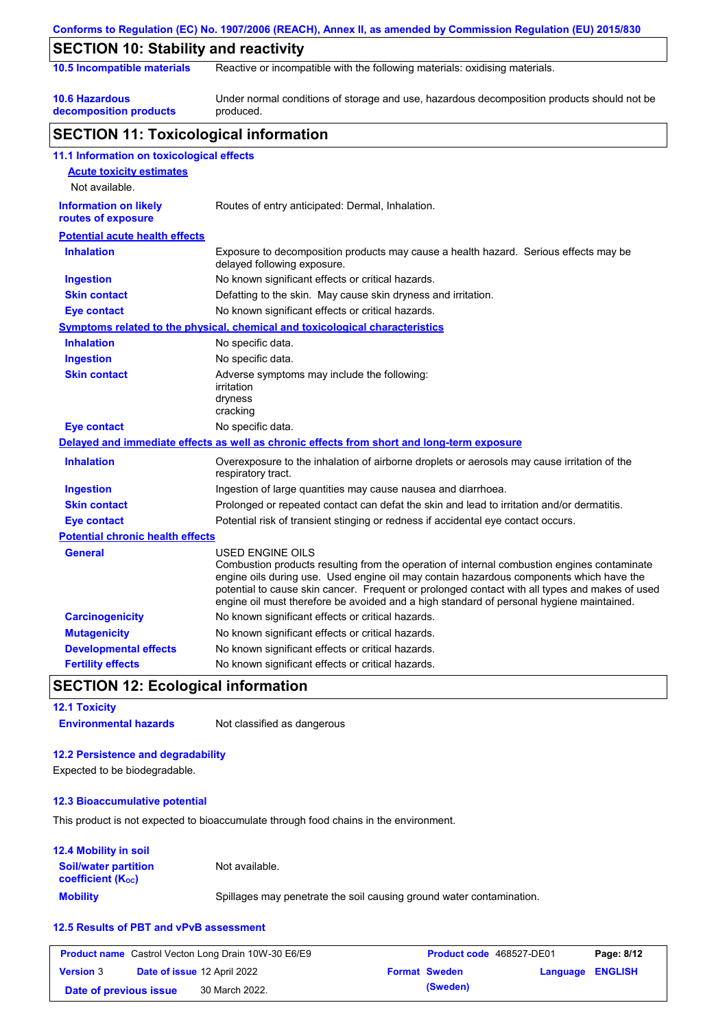|                                                    | Conforms to Regulation (EC) No. 1907/2006 (REACH), Annex II, as amended by Commission Regulation (EU) 2015/830                                                                                                                                                                                                                                                                                                  |  |  |  |  |  |
|----------------------------------------------------|-----------------------------------------------------------------------------------------------------------------------------------------------------------------------------------------------------------------------------------------------------------------------------------------------------------------------------------------------------------------------------------------------------------------|--|--|--|--|--|
| <b>SECTION 10: Stability and reactivity</b>        |                                                                                                                                                                                                                                                                                                                                                                                                                 |  |  |  |  |  |
| 10.5 Incompatible materials                        | Reactive or incompatible with the following materials: oxidising materials.                                                                                                                                                                                                                                                                                                                                     |  |  |  |  |  |
| <b>10.6 Hazardous</b><br>decomposition products    | Under normal conditions of storage and use, hazardous decomposition products should not be<br>produced.                                                                                                                                                                                                                                                                                                         |  |  |  |  |  |
| <b>SECTION 11: Toxicological information</b>       |                                                                                                                                                                                                                                                                                                                                                                                                                 |  |  |  |  |  |
| 11.1 Information on toxicological effects          |                                                                                                                                                                                                                                                                                                                                                                                                                 |  |  |  |  |  |
| <b>Acute toxicity estimates</b>                    |                                                                                                                                                                                                                                                                                                                                                                                                                 |  |  |  |  |  |
| Not available.                                     |                                                                                                                                                                                                                                                                                                                                                                                                                 |  |  |  |  |  |
| <b>Information on likely</b><br>routes of exposure | Routes of entry anticipated: Dermal, Inhalation.                                                                                                                                                                                                                                                                                                                                                                |  |  |  |  |  |
| <b>Potential acute health effects</b>              |                                                                                                                                                                                                                                                                                                                                                                                                                 |  |  |  |  |  |
| <b>Inhalation</b>                                  | Exposure to decomposition products may cause a health hazard. Serious effects may be<br>delayed following exposure.                                                                                                                                                                                                                                                                                             |  |  |  |  |  |
| <b>Ingestion</b>                                   | No known significant effects or critical hazards.                                                                                                                                                                                                                                                                                                                                                               |  |  |  |  |  |
| <b>Skin contact</b>                                | Defatting to the skin. May cause skin dryness and irritation.                                                                                                                                                                                                                                                                                                                                                   |  |  |  |  |  |
| <b>Eye contact</b>                                 | No known significant effects or critical hazards.                                                                                                                                                                                                                                                                                                                                                               |  |  |  |  |  |
|                                                    | Symptoms related to the physical, chemical and toxicological characteristics                                                                                                                                                                                                                                                                                                                                    |  |  |  |  |  |
| <b>Inhalation</b>                                  | No specific data.                                                                                                                                                                                                                                                                                                                                                                                               |  |  |  |  |  |
| <b>Ingestion</b>                                   | No specific data.                                                                                                                                                                                                                                                                                                                                                                                               |  |  |  |  |  |
| <b>Skin contact</b>                                | Adverse symptoms may include the following:<br>irritation<br>dryness<br>cracking                                                                                                                                                                                                                                                                                                                                |  |  |  |  |  |
| <b>Eye contact</b>                                 | No specific data.                                                                                                                                                                                                                                                                                                                                                                                               |  |  |  |  |  |
|                                                    | Delayed and immediate effects as well as chronic effects from short and long-term exposure                                                                                                                                                                                                                                                                                                                      |  |  |  |  |  |
| <b>Inhalation</b>                                  | Overexposure to the inhalation of airborne droplets or aerosols may cause irritation of the<br>respiratory tract.                                                                                                                                                                                                                                                                                               |  |  |  |  |  |
| <b>Ingestion</b>                                   | Ingestion of large quantities may cause nausea and diarrhoea.                                                                                                                                                                                                                                                                                                                                                   |  |  |  |  |  |
| <b>Skin contact</b>                                | Prolonged or repeated contact can defat the skin and lead to irritation and/or dermatitis.                                                                                                                                                                                                                                                                                                                      |  |  |  |  |  |
| <b>Eye contact</b>                                 | Potential risk of transient stinging or redness if accidental eye contact occurs.                                                                                                                                                                                                                                                                                                                               |  |  |  |  |  |
| <b>Potential chronic health effects</b>            |                                                                                                                                                                                                                                                                                                                                                                                                                 |  |  |  |  |  |
| <b>General</b>                                     | <b>USED ENGINE OILS</b><br>Combustion products resulting from the operation of internal combustion engines contaminate<br>engine oils during use. Used engine oil may contain hazardous components which have the<br>potential to cause skin cancer. Frequent or prolonged contact with all types and makes of used<br>engine oil must therefore be avoided and a high standard of personal hygiene maintained. |  |  |  |  |  |
| <b>Carcinogenicity</b>                             | No known significant effects or critical hazards.                                                                                                                                                                                                                                                                                                                                                               |  |  |  |  |  |
| <b>Mutagenicity</b>                                | No known significant effects or critical hazards.                                                                                                                                                                                                                                                                                                                                                               |  |  |  |  |  |
| <b>Developmental effects</b>                       | No known significant effects or critical hazards.                                                                                                                                                                                                                                                                                                                                                               |  |  |  |  |  |
| <b>Fertility effects</b>                           | No known significant effects or critical hazards.                                                                                                                                                                                                                                                                                                                                                               |  |  |  |  |  |

## **SECTION 12: Ecological information**

**12.1 Toxicity Environmental hazards** Not classified as dangerous

### **12.2 Persistence and degradability**

Expected to be biodegradable.

### **12.3 Bioaccumulative potential**

This product is not expected to bioaccumulate through food chains in the environment.

### **12.4 Mobility in soil**

| <b>Soil/water partition</b><br><b>coefficient</b> (K <sub>oc</sub> ) | Not available.                                                       |
|----------------------------------------------------------------------|----------------------------------------------------------------------|
| <b>Mobility</b>                                                      | Spillages may penetrate the soil causing ground water contamination. |

### **12.5 Results of PBT and vPvB assessment**

|                        | <b>Product name</b> Castrol Vecton Long Drain 10W-30 E6/E9 | Product code 468527-DE01 |                  | Page: 8/12 |
|------------------------|------------------------------------------------------------|--------------------------|------------------|------------|
| <b>Version</b> 3       | <b>Date of issue 12 April 2022</b>                         | <b>Format Sweden</b>     | Language ENGLISH |            |
| Date of previous issue | 30 March 2022.                                             | (Sweden)                 |                  |            |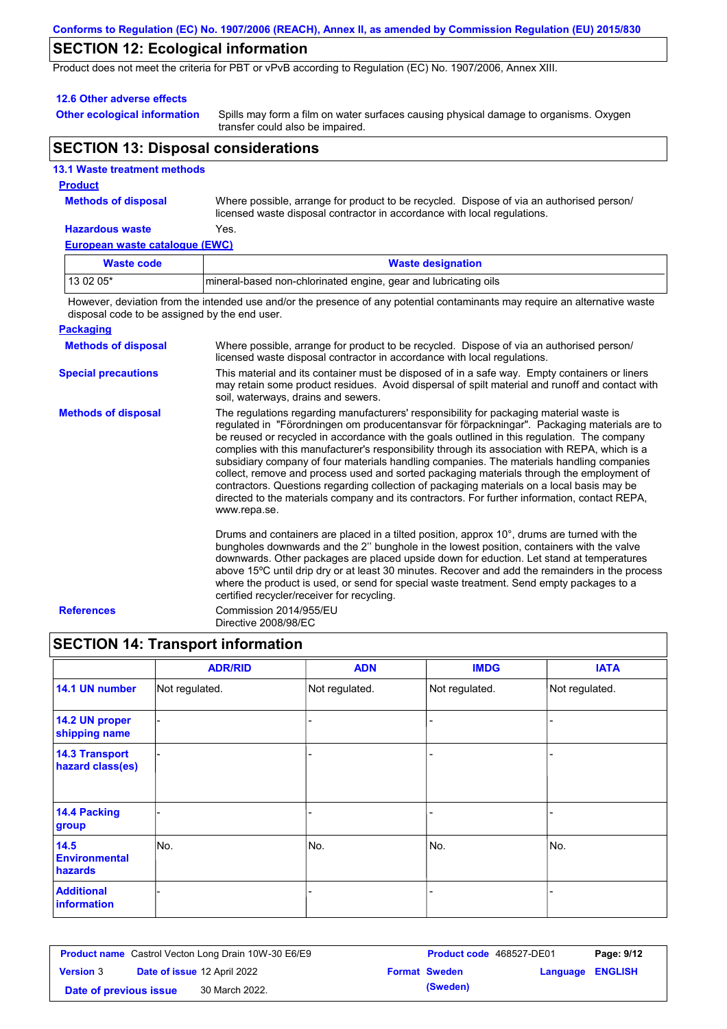# **SECTION 12: Ecological information**

Product does not meet the criteria for PBT or vPvB according to Regulation (EC) No. 1907/2006, Annex XIII.

#### **12.6 Other adverse effects**

**Other ecological information**

Spills may form a film on water surfaces causing physical damage to organisms. Oxygen transfer could also be impaired.

## **SECTION 13: Disposal considerations**

|                   | <b>13.1 Waste treatment methods</b> |
|-------------------|-------------------------------------|
| <b>Providence</b> |                                     |

### **Product**

**Methods of disposal**

Where possible, arrange for product to be recycled. Dispose of via an authorised person/ licensed waste disposal contractor in accordance with local regulations.

#### **Hazardous waste** Yes.

**European waste catalogue (EWC)**

| <b>Waste code</b> | <b>Waste designation</b>                                        |
|-------------------|-----------------------------------------------------------------|
| 13 02 05*         | mineral-based non-chlorinated engine, gear and lubricating oils |
| .                 |                                                                 |

However, deviation from the intended use and/or the presence of any potential contaminants may require an alternative waste disposal code to be assigned by the end user.

#### **Packaging**

| <b>Methods of disposal</b> | Where possible, arrange for product to be recycled. Dispose of via an authorised person/<br>licensed waste disposal contractor in accordance with local regulations.                                                                                                                                                                                                                                                                                                                                                                                                                                                                                                                                                                                                                              |
|----------------------------|---------------------------------------------------------------------------------------------------------------------------------------------------------------------------------------------------------------------------------------------------------------------------------------------------------------------------------------------------------------------------------------------------------------------------------------------------------------------------------------------------------------------------------------------------------------------------------------------------------------------------------------------------------------------------------------------------------------------------------------------------------------------------------------------------|
| <b>Special precautions</b> | This material and its container must be disposed of in a safe way. Empty containers or liners<br>may retain some product residues. Avoid dispersal of spilt material and runoff and contact with<br>soil, waterways, drains and sewers.                                                                                                                                                                                                                                                                                                                                                                                                                                                                                                                                                           |
| <b>Methods of disposal</b> | The regulations regarding manufacturers' responsibility for packaging material waste is<br>regulated in "Förordningen om producentansvar för förpackningar". Packaging materials are to<br>be reused or recycled in accordance with the goals outlined in this regulation. The company<br>complies with this manufacturer's responsibility through its association with REPA, which is a<br>subsidiary company of four materials handling companies. The materials handling companies<br>collect, remove and process used and sorted packaging materials through the employment of<br>contractors. Questions regarding collection of packaging materials on a local basis may be<br>directed to the materials company and its contractors. For further information, contact REPA,<br>www.repa.se. |
|                            | Drums and containers are placed in a tilted position, approx $10^{\circ}$ , drums are turned with the<br>bungholes downwards and the 2" bunghole in the lowest position, containers with the valve<br>downwards. Other packages are placed upside down for eduction. Let stand at temperatures<br>above 15°C until drip dry or at least 30 minutes. Recover and add the remainders in the process<br>where the product is used, or send for special waste treatment. Send empty packages to a<br>certified recycler/receiver for recycling.                                                                                                                                                                                                                                                       |
| <b>References</b>          | Commission 2014/955/EU<br>Directive 2008/98/EC                                                                                                                                                                                                                                                                                                                                                                                                                                                                                                                                                                                                                                                                                                                                                    |

# **SECTION 14: Transport information**

|                                           | <b>ADR/RID</b> | <b>ADN</b>     | <b>IMDG</b>    | <b>IATA</b>    |
|-------------------------------------------|----------------|----------------|----------------|----------------|
| 14.1 UN number                            | Not regulated. | Not regulated. | Not regulated. | Not regulated. |
| 14.2 UN proper<br>shipping name           |                |                |                |                |
| <b>14.3 Transport</b><br>hazard class(es) |                |                |                |                |
| 14.4 Packing<br>group                     |                |                |                |                |
| 14.5<br><b>Environmental</b><br>hazards   | No.            | No.            | No.            | No.            |
| <b>Additional</b><br>information          |                |                | -              |                |

| <b>Product name</b> Castrol Vecton Long Drain 10W-30 E6/E9 |  |                                    | <b>Product code</b> 468527-DE01 | Page: 9/12           |                         |  |
|------------------------------------------------------------|--|------------------------------------|---------------------------------|----------------------|-------------------------|--|
| <b>Version 3</b>                                           |  | <b>Date of issue 12 April 2022</b> |                                 | <b>Format Sweden</b> | <b>Language ENGLISH</b> |  |
| Date of previous issue                                     |  | 30 March 2022.                     |                                 | (Sweden)             |                         |  |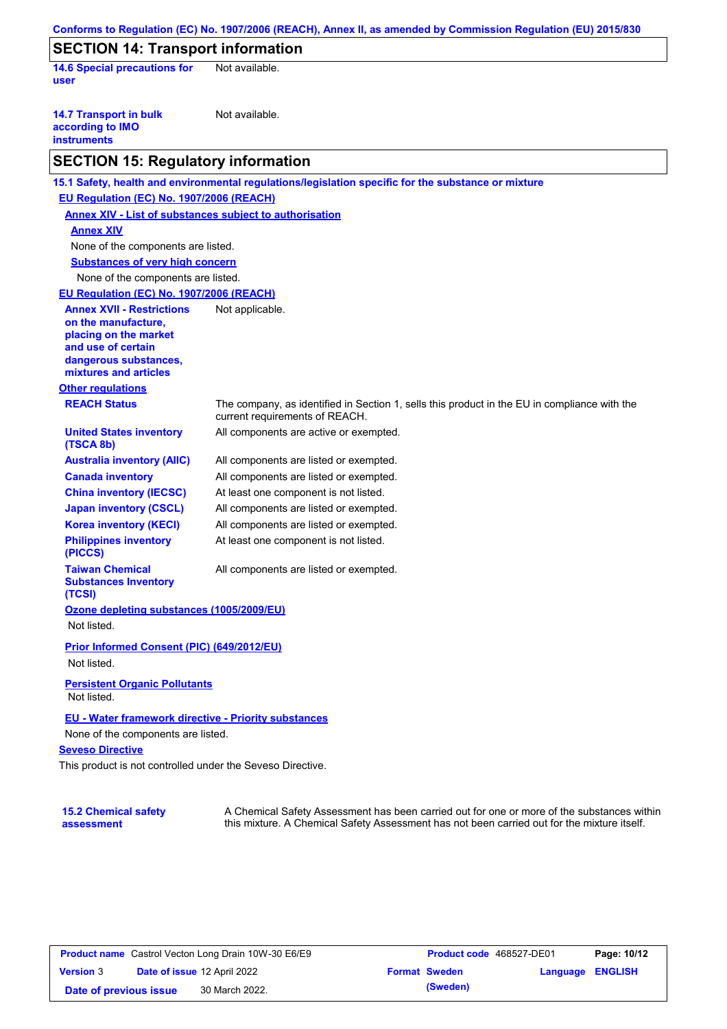| <b>SECTION 14: Transport information</b>                                                                                                                 |                                                                                                                                |
|----------------------------------------------------------------------------------------------------------------------------------------------------------|--------------------------------------------------------------------------------------------------------------------------------|
| <b>14.6 Special precautions for</b><br>user                                                                                                              | Not available.                                                                                                                 |
| <b>14.7 Transport in bulk</b><br>according to IMO<br><b>instruments</b>                                                                                  | Not available.                                                                                                                 |
| <b>SECTION 15: Regulatory information</b>                                                                                                                |                                                                                                                                |
|                                                                                                                                                          | 15.1 Safety, health and environmental regulations/legislation specific for the substance or mixture                            |
| EU Regulation (EC) No. 1907/2006 (REACH)                                                                                                                 |                                                                                                                                |
|                                                                                                                                                          | <b>Annex XIV - List of substances subject to authorisation</b>                                                                 |
| <b>Annex XIV</b>                                                                                                                                         |                                                                                                                                |
| None of the components are listed.                                                                                                                       |                                                                                                                                |
| <b>Substances of very high concern</b>                                                                                                                   |                                                                                                                                |
| None of the components are listed.                                                                                                                       |                                                                                                                                |
| EU Regulation (EC) No. 1907/2006 (REACH)                                                                                                                 |                                                                                                                                |
| <b>Annex XVII - Restrictions</b><br>on the manufacture,<br>placing on the market<br>and use of certain<br>dangerous substances,<br>mixtures and articles | Not applicable.                                                                                                                |
| <b>Other regulations</b>                                                                                                                                 |                                                                                                                                |
| <b>REACH Status</b>                                                                                                                                      | The company, as identified in Section 1, sells this product in the EU in compliance with the<br>current requirements of REACH. |
| <b>United States inventory</b><br>(TSCA 8b)                                                                                                              | All components are active or exempted.                                                                                         |
| <b>Australia inventory (AIIC)</b>                                                                                                                        | All components are listed or exempted.                                                                                         |
| <b>Canada inventory</b>                                                                                                                                  | All components are listed or exempted.                                                                                         |
| <b>China inventory (IECSC)</b>                                                                                                                           | At least one component is not listed.                                                                                          |
| <b>Japan inventory (CSCL)</b>                                                                                                                            | All components are listed or exempted.                                                                                         |
| <b>Korea inventory (KECI)</b>                                                                                                                            | All components are listed or exempted.                                                                                         |
| <b>Philippines inventory</b><br>(PICCS)                                                                                                                  | At least one component is not listed.                                                                                          |
| <b>Taiwan Chemical</b><br><b>Substances Inventory</b><br>(TCSI)                                                                                          | All components are listed or exempted.                                                                                         |
| Ozone depleting substances (1005/2009/EU)<br>Not listed.                                                                                                 |                                                                                                                                |
| Prior Informed Consent (PIC) (649/2012/EU)<br>Not listed.                                                                                                |                                                                                                                                |
| <b>Persistent Organic Pollutants</b><br>Not listed.                                                                                                      |                                                                                                                                |
| EU - Water framework directive - Priority substances<br>None of the components are listed.<br><b>Seveso Directive</b>                                    |                                                                                                                                |

### **15.2 Chemical safety assessment**

A Chemical Safety Assessment has been carried out for one or more of the substances within this mixture. A Chemical Safety Assessment has not been carried out for the mixture itself.

| <b>Product name</b> Castrol Vecton Long Drain 10W-30 E6/E9 |  |                             | <b>Product code</b> 468527-DE01 |                      | Page: 10/12             |  |
|------------------------------------------------------------|--|-----------------------------|---------------------------------|----------------------|-------------------------|--|
| <b>Version 3</b>                                           |  | Date of issue 12 April 2022 |                                 | <b>Format Sweden</b> | <b>Language ENGLISH</b> |  |
| Date of previous issue                                     |  | 30 March 2022.              |                                 | (Sweden)             |                         |  |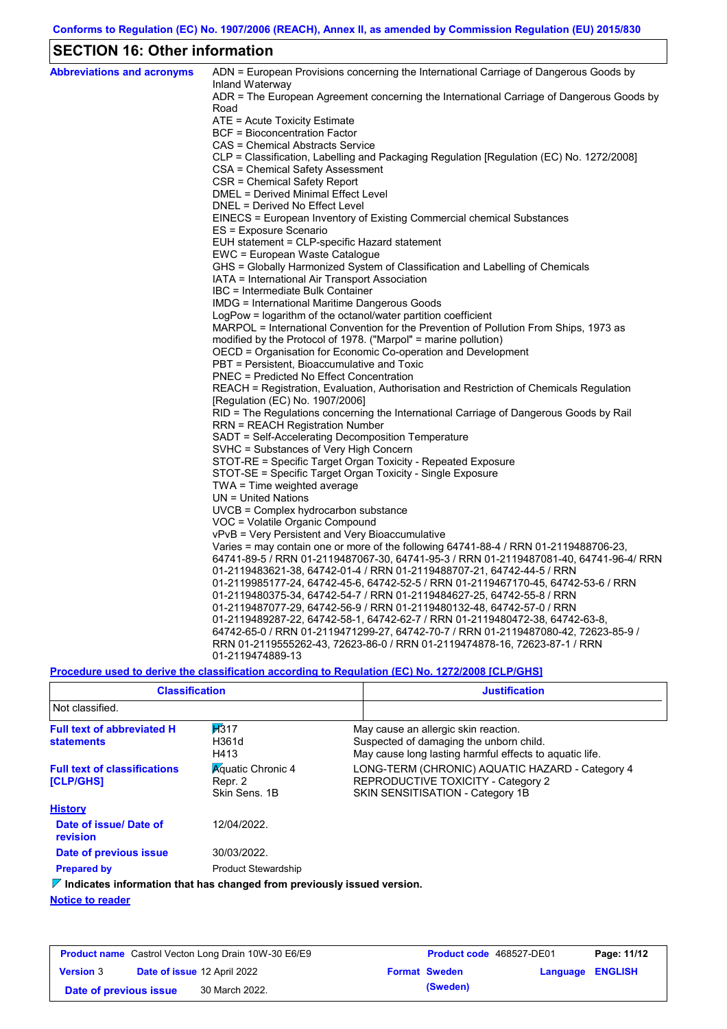# **SECTION 16: Other information**

| <b>Abbreviations and acronyms</b> | ADN = European Provisions concerning the International Carriage of Dangerous Goods by<br>Inland Waterway |
|-----------------------------------|----------------------------------------------------------------------------------------------------------|
|                                   | ADR = The European Agreement concerning the International Carriage of Dangerous Goods by                 |
|                                   | Road                                                                                                     |
|                                   | ATE = Acute Toxicity Estimate                                                                            |
|                                   | BCF = Bioconcentration Factor                                                                            |
|                                   | CAS = Chemical Abstracts Service                                                                         |
|                                   | CLP = Classification, Labelling and Packaging Regulation [Regulation (EC) No. 1272/2008]                 |
|                                   | CSA = Chemical Safety Assessment                                                                         |
|                                   | CSR = Chemical Safety Report                                                                             |
|                                   | DMEL = Derived Minimal Effect Level                                                                      |
|                                   | DNEL = Derived No Effect Level                                                                           |
|                                   | EINECS = European Inventory of Existing Commercial chemical Substances                                   |
|                                   | ES = Exposure Scenario                                                                                   |
|                                   | EUH statement = CLP-specific Hazard statement                                                            |
|                                   | EWC = European Waste Catalogue                                                                           |
|                                   | GHS = Globally Harmonized System of Classification and Labelling of Chemicals                            |
|                                   | IATA = International Air Transport Association                                                           |
|                                   | IBC = Intermediate Bulk Container                                                                        |
|                                   | IMDG = International Maritime Dangerous Goods                                                            |
|                                   | LogPow = logarithm of the octanol/water partition coefficient                                            |
|                                   | MARPOL = International Convention for the Prevention of Pollution From Ships, 1973 as                    |
|                                   | modified by the Protocol of 1978. ("Marpol" = marine pollution)                                          |
|                                   | OECD = Organisation for Economic Co-operation and Development                                            |
|                                   | PBT = Persistent, Bioaccumulative and Toxic                                                              |
|                                   | <b>PNEC</b> = Predicted No Effect Concentration                                                          |
|                                   | REACH = Registration, Evaluation, Authorisation and Restriction of Chemicals Regulation                  |
|                                   | [Regulation (EC) No. 1907/2006]                                                                          |
|                                   | RID = The Regulations concerning the International Carriage of Dangerous Goods by Rail                   |
|                                   | RRN = REACH Registration Number<br>SADT = Self-Accelerating Decomposition Temperature                    |
|                                   | SVHC = Substances of Very High Concern                                                                   |
|                                   | STOT-RE = Specific Target Organ Toxicity - Repeated Exposure                                             |
|                                   | STOT-SE = Specific Target Organ Toxicity - Single Exposure                                               |
|                                   | $TWA = Time weighted average$                                                                            |
|                                   | $UN = United Nations$                                                                                    |
|                                   | UVCB = Complex hydrocarbon substance                                                                     |
|                                   | VOC = Volatile Organic Compound                                                                          |
|                                   | vPvB = Very Persistent and Very Bioaccumulative                                                          |
|                                   | Varies = may contain one or more of the following $64741-88-4$ / RRN 01-2119488706-23,                   |
|                                   | 64741-89-5 / RRN 01-2119487067-30, 64741-95-3 / RRN 01-2119487081-40, 64741-96-4/ RRN                    |
|                                   | 01-2119483621-38, 64742-01-4 / RRN 01-2119488707-21, 64742-44-5 / RRN                                    |
|                                   | 01-2119985177-24, 64742-45-6, 64742-52-5 / RRN 01-2119467170-45, 64742-53-6 / RRN                        |
|                                   | 01-2119480375-34, 64742-54-7 / RRN 01-2119484627-25, 64742-55-8 / RRN                                    |
|                                   | 01-2119487077-29, 64742-56-9 / RRN 01-2119480132-48, 64742-57-0 / RRN                                    |
|                                   | 01-2119489287-22, 64742-58-1, 64742-62-7 / RRN 01-2119480472-38, 64742-63-8,                             |
|                                   | 64742-65-0 / RRN 01-2119471299-27, 64742-70-7 / RRN 01-2119487080-42, 72623-85-9 /                       |
|                                   | RRN 01-2119555262-43, 72623-86-0 / RRN 01-2119474878-16, 72623-87-1 / RRN                                |
|                                   | 01-2119474889-13                                                                                         |
|                                   |                                                                                                          |

**Procedure used to derive the classification according to Regulation (EC) No. 1272/2008 [CLP/GHS]**

| <b>Classification</b>                                                                                           |                            | <b>Justification</b>                                                                                                                       |  |  |
|-----------------------------------------------------------------------------------------------------------------|----------------------------|--------------------------------------------------------------------------------------------------------------------------------------------|--|--|
| Not classified.                                                                                                 |                            |                                                                                                                                            |  |  |
| H <sub>317</sub><br><b>Full text of abbreviated H</b><br>H361d<br><b>statements</b><br>H413                     |                            | May cause an allergic skin reaction.<br>Suspected of damaging the unborn child.<br>May cause long lasting harmful effects to aquatic life. |  |  |
| <b>Aguatic Chronic 4</b><br><b>Full text of classifications</b><br>Repr. 2<br><b>[CLP/GHS]</b><br>Skin Sens, 1B |                            | LONG-TERM (CHRONIC) AQUATIC HAZARD - Category 4<br>REPRODUCTIVE TOXICITY - Category 2<br>SKIN SENSITISATION - Category 1B                  |  |  |
| <b>History</b>                                                                                                  |                            |                                                                                                                                            |  |  |
| Date of issue/Date of<br>revision                                                                               | 12/04/2022.                |                                                                                                                                            |  |  |
| Date of previous issue                                                                                          | 30/03/2022.                |                                                                                                                                            |  |  |
| <b>Prepared by</b>                                                                                              | <b>Product Stewardship</b> |                                                                                                                                            |  |  |
| $\nabla$ Indicates information that has changed from previously issued version.                                 |                            |                                                                                                                                            |  |  |
| <b>Notice to reader</b>                                                                                         |                            |                                                                                                                                            |  |  |

| <b>Product name</b> Castrol Vecton Long Drain 10W-30 E6/E9 |  |                             | <b>Product code</b> 468527-DE01 |                      | Page: 11/12      |  |
|------------------------------------------------------------|--|-----------------------------|---------------------------------|----------------------|------------------|--|
| <b>Version 3</b>                                           |  | Date of issue 12 April 2022 |                                 | <b>Format Sweden</b> | Language ENGLISH |  |
| Date of previous issue                                     |  | 30 March 2022.              |                                 | (Sweden)             |                  |  |